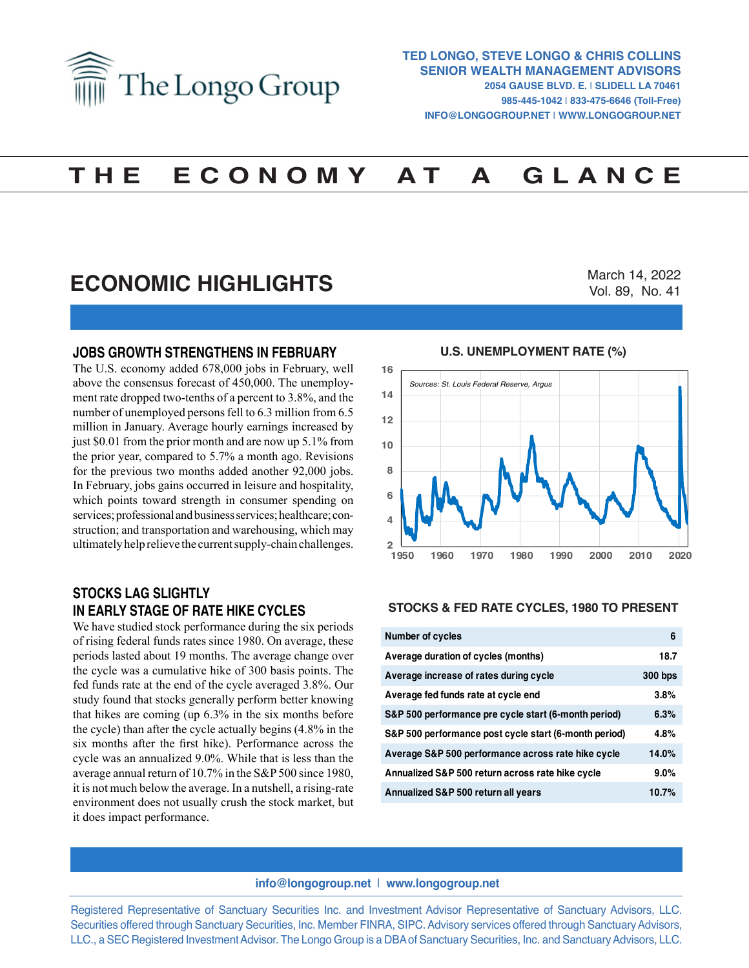

# **T H E E C O N O M Y A T A G L A N C E**

# **ECONOMIC HIGHLIGHTS**

March 14, 2022 Vol. 89, No. 41

#### **JOBS GROWTH STRENGTHENS IN FEBRUARY**

The U.S. economy added 678,000 jobs in February, well above the consensus forecast of 450,000. The unemployment rate dropped two-tenths of a percent to 3.8%, and the number of unemployed persons fell to 6.3 million from 6.5 million in January. Average hourly earnings increased by just \$0.01 from the prior month and are now up 5.1% from the prior year, compared to 5.7% a month ago. Revisions for the previous two months added another 92,000 jobs. In February, jobs gains occurred in leisure and hospitality, which points toward strength in consumer spending on services; professional and business services; healthcare; construction; and transportation and warehousing, which may ultimately help relieve the current supply-chain challenges.

### **STOCKS LAG SLIGHTLY IN EARLY STAGE OF RATE HIKE CYCLES**

We have studied stock performance during the six periods of rising federal funds rates since 1980. On average, these periods lasted about 19 months. The average change over the cycle was a cumulative hike of 300 basis points. The fed funds rate at the end of the cycle averaged 3.8%. Our study found that stocks generally perform better knowing that hikes are coming (up 6.3% in the six months before the cycle) than after the cycle actually begins (4.8% in the six months after the first hike). Performance across the cycle was an annualized 9.0%. While that is less than the average annual return of 10.7% in the S&P 500 since 1980, it is not much below the average. In a nutshell, a rising-rate environment does not usually crush the stock market, but it does impact performance.

#### **U.S. UNEMPLOYMENT RATE (%) U.S. UNEMPLOYMENT RATE (%)**



#### **STOCKS & FED RATE CYCLES, 1980 TO PRESENT**

| <b>Number of cycles</b>                               | 6       |
|-------------------------------------------------------|---------|
| Average duration of cycles (months)                   | 18.7    |
| Average increase of rates during cycle                | 300 bps |
| Average fed funds rate at cycle end                   | 3.8%    |
| S&P 500 performance pre cycle start (6-month period)  | 6.3%    |
| S&P 500 performance post cycle start (6-month period) | 4.8%    |
| Average S&P 500 performance across rate hike cycle    | 14.0%   |
| Annualized S&P 500 return across rate hike cycle      | $9.0\%$ |
| Annualized S&P 500 return all years                   | 10.7%   |

#### **info@longogroup.net** | **www.longogroup.net**

Registered Representative of Sanctuary Securities Inc. and Investment Advisor Representative of Sanctuary Advisors, LLC. Securities offered through Sanctuary Securities, Inc. Member FINRA, SIPC. Advisory services offered through Sanctuary Advisors, LLC., a SEC Registered Investment Advisor. The Longo Group is a DBA of Sanctuary Securities, Inc. and Sanctuary Advisors, LLC.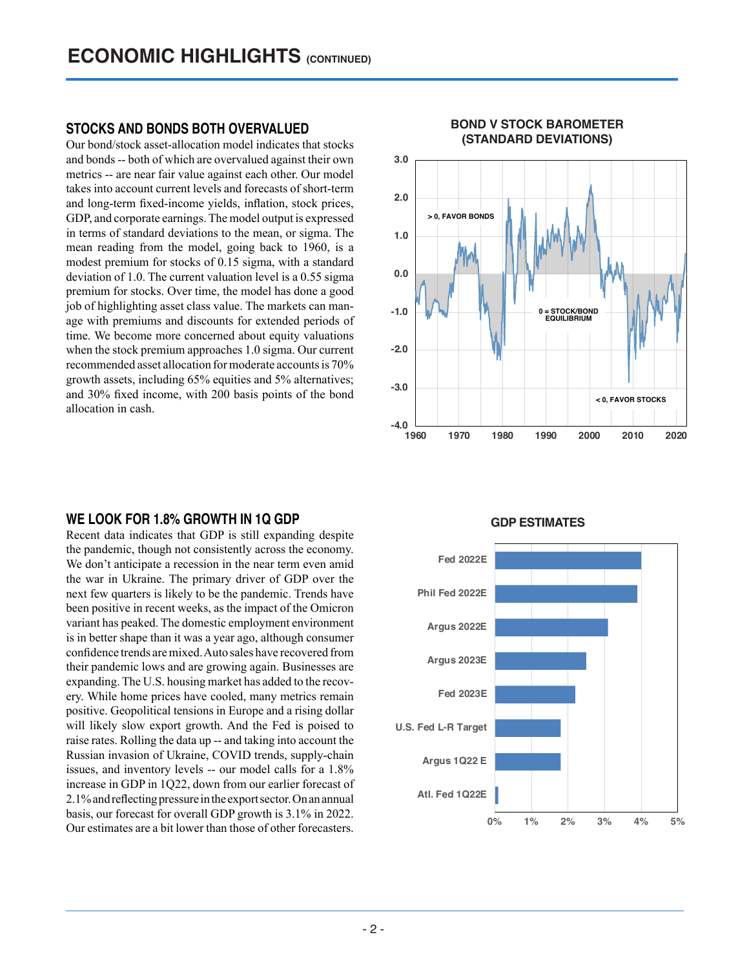### **STOCKS AND BONDS BOTH OVERVALUED**

Our bond/stock asset-allocation model indicates that stocks and bonds -- both of which are overvalued against their own metrics -- are near fair value against each other. Our model takes into account current levels and forecasts of short-term and long-term fixed-income yields, inflation, stock prices, GDP, and corporate earnings. The model output is expressed in terms of standard deviations to the mean, or sigma. The mean reading from the model, going back to 1960, is a modest premium for stocks of 0.15 sigma, with a standard deviation of 1.0. The current valuation level is a 0.55 sigma premium for stocks. Over time, the model has done a good job of highlighting asset class value. The markets can manage with premiums and discounts for extended periods of time. We become more concerned about equity valuations when the stock premium approaches 1.0 sigma. Our current recommended asset allocation for moderate accounts is 70% growth assets, including 65% equities and 5% alternatives; and 30% fixed income, with 200 basis points of the bond allocation in cash.

#### **WE LOOK FOR 1.8% GROWTH IN 1Q GDP**

Recent data indicates that GDP is still expanding despite the pandemic, though not consistently across the economy. We don't anticipate a recession in the near term even amid the war in Ukraine. The primary driver of GDP over the next few quarters is likely to be the pandemic. Trends have been positive in recent weeks, as the impact of the Omicron variant has peaked. The domestic employment environment is in better shape than it was a year ago, although consumer confidence trends are mixed. Auto sales have recovered from their pandemic lows and are growing again. Businesses are expanding. The U.S. housing market has added to the recovery. While home prices have cooled, many metrics remain positive. Geopolitical tensions in Europe and a rising dollar will likely slow export growth. And the Fed is poised to raise rates. Rolling the data up -- and taking into account the Russian invasion of Ukraine, COVID trends, supply-chain issues, and inventory levels -- our model calls for a 1.8% increase in GDP in 1Q22, down from our earlier forecast of 2.1% and reflecting pressure in the export sector. On an annual basis, our forecast for overall GDP growth is 3.1% in 2022. Our estimates are a bit lower than those of other forecasters.



#### **GDP ESTIMATES GDP ESTIMATES**

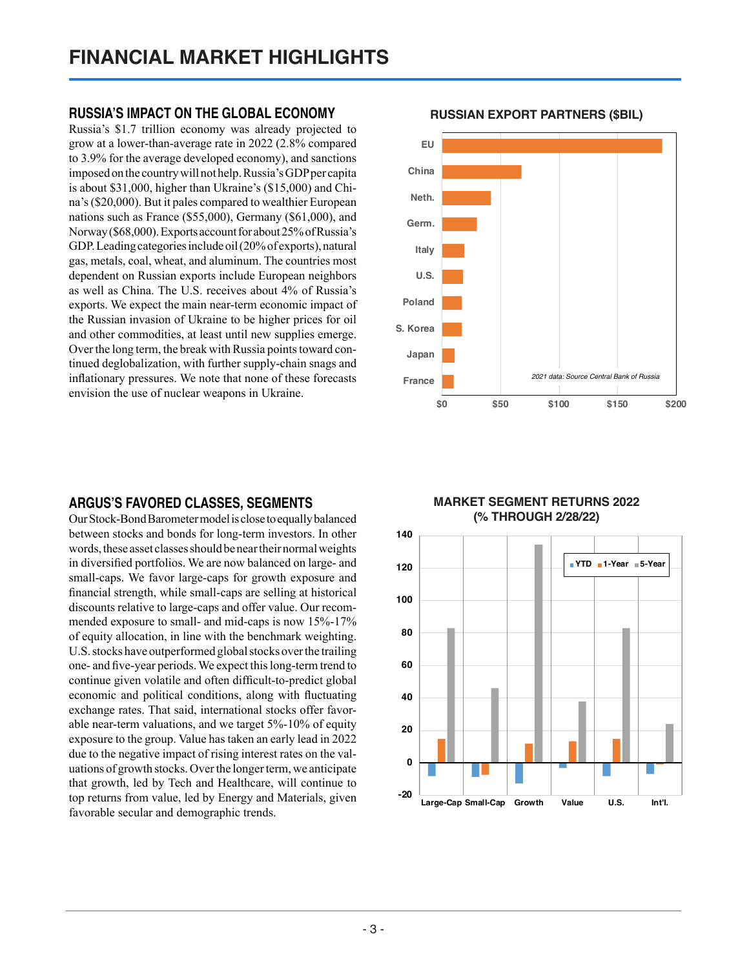### **RUSSIA'S IMPACT ON THE GLOBAL ECONOMY**

Russia's \$1.7 trillion economy was already projected to grow at a lower-than-average rate in 2022 (2.8% compared to 3.9% for the average developed economy), and sanctions imposed on the country will not help. Russia's GDP per capita is about \$31,000, higher than Ukraine's (\$15,000) and China's (\$20,000). But it pales compared to wealthier European nations such as France (\$55,000), Germany (\$61,000), and Norway (\$68,000). Exports account for about 25% of Russia's GDP. Leading categories include oil (20% of exports), natural gas, metals, coal, wheat, and aluminum. The countries most dependent on Russian exports include European neighbors as well as China. The U.S. receives about 4% of Russia's exports. We expect the main near-term economic impact of the Russian invasion of Ukraine to be higher prices for oil and other commodities, at least until new supplies emerge. Over the long term, the break with Russia points toward continued deglobalization, with further supply-chain snags and inflationary pressures. We note that none of these forecasts envision the use of nuclear weapons in Ukraine.

# **ARGUS'S FAVORED CLASSES, SEGMENTS**

Our Stock-Bond Barometer model is close to equally balanced between stocks and bonds for long-term investors. In other words, these asset classes should be near their normal weights in diversified portfolios. We are now balanced on large- and small-caps. We favor large-caps for growth exposure and financial strength, while small-caps are selling at historical discounts relative to large-caps and offer value. Our recommended exposure to small- and mid-caps is now 15%-17% of equity allocation, in line with the benchmark weighting. U.S. stocks have outperformed global stocks over the trailing one- and five-year periods. We expect this long-term trend to continue given volatile and often difficult-to-predict global economic and political conditions, along with fluctuating exchange rates. That said, international stocks offer favorable near-term valuations, and we target 5%-10% of equity exposure to the group. Value has taken an early lead in 2022 due to the negative impact of rising interest rates on the valuations of growth stocks. Over the longer term, we anticipate that growth, led by Tech and Healthcare, will continue to top returns from value, led by Energy and Materials, given favorable secular and demographic trends.



# **RUSSIAN EXPORT PARTNERS (\$BIL) RUSSIAN EXPORT PARTNERS (\$BIL)**

#### **MARKET SEGMENT RETURNS 2022 (% THROUGH 2/28/22) MARKET SEGMENT RETURNS 2022 (% through 2/28/22)**